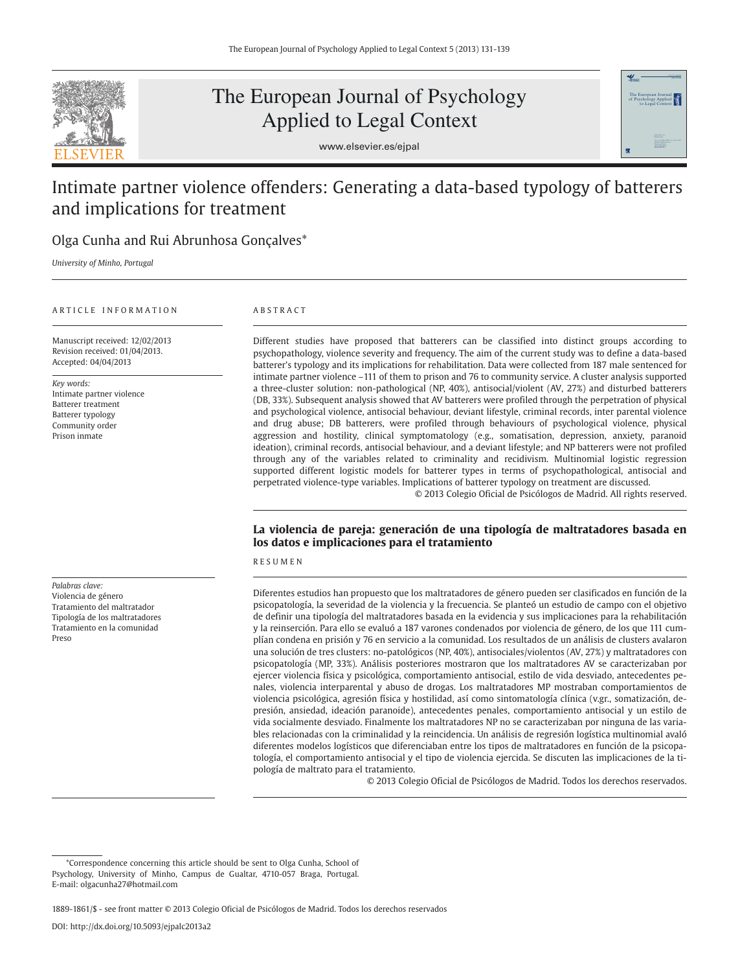

# The European Journal of Psychology Applied to Legal Context



www.elsevier.es/ejpal

## Intimate partner violence offenders: Generating a data-based typology of batterers and implications for treatment

## Olga Cunha and Rui Abrunhosa Gonçalves\*

*University of Minho, Portugal*

#### ARTICLE INFORMATION

Manuscript received: 12/02/2013 Revision received: 01/04/2013. Accepted: 04/04/2013

*Key words:* Intimate partner violence Batterer treatment Batterer typology Community order Prison inmate

*Palabras clave:*  Violencia de género Tratamiento del maltratador Tipología de los maltratadores Tratamiento en la comunidad Preso

## ABSTRACT

Different studies have proposed that batterers can be classified into distinct groups according to psychopathology, violence severity and frequency. The aim of the current study was to define a data-based batterer's typology and its implications for rehabilitation. Data were collected from 187 male sentenced for intimate partner violence –111 of them to prison and 76 to community service. A cluster analysis supported a three-cluster solution: non-pathological (NP, 40%), antisocial/violent (AV, 27%) and disturbed batterers (DB, 33%). Subsequent analysis showed that AV batterers were profiled through the perpetration of physical and psychological violence, antisocial behaviour, deviant lifestyle, criminal records, inter parental violence and drug abuse; DB batterers, were profiled through behaviours of psychological violence, physical aggression and hostility, clinical symptomatology (e.g., somatisation, depression, anxiety, paranoid ideation), criminal records, antisocial behaviour, and a deviant lifestyle; and NP batterers were not profiled through any of the variables related to criminality and recidivism. Multinomial logistic regression supported different logistic models for batterer types in terms of psychopathological, antisocial and perpetrated violence-type variables. Implications of batterer typology on treatment are discussed.

© 2013 Colegio Oficial de Psicólogos de Madrid. All rights reserved.

## **La violencia de pareja: generación de una tipología de maltratadores basada en los datos e implicaciones para el tratamiento**

## RESUMEN

Diferentes estudios han propuesto que los maltratadores de género pueden ser clasificados en función de la psicopatología, la severidad de la violencia y la frecuencia. Se planteó un estudio de campo con el objetivo de definir una tipología del maltratadores basada en la evidencia y sus implicaciones para la rehabilitación y la reinserción. Para ello se evaluó a 187 varones condenados por violencia de género, de los que 111 cumplían condena en prisión y 76 en servicio a la comunidad. Los resultados de un análisis de clusters avalaron una solución de tres clusters: no-patológicos (NP, 40%), antisociales/violentos (AV, 27%) y maltratadores con psicopatología (MP, 33%). Análisis posteriores mostraron que los maltratadores AV se caracterizaban por ejercer violencia física y psicológica, comportamiento antisocial, estilo de vida desviado, antecedentes penales, violencia interparental y abuso de drogas. Los maltratadores MP mostraban comportamientos de violencia psicológica, agresión física y hostilidad, así como sintomatología clínica (v.gr., somatización, depresión, ansiedad, ideación paranoide), antecedentes penales, comportamiento antisocial y un estilo de vida socialmente desviado. Finalmente los maltratadores NP no se caracterizaban por ninguna de las variables relacionadas con la criminalidad y la reincidencia. Un análisis de regresión logística multinomial avaló diferentes modelos logísticos que diferenciaban entre los tipos de maltratadores en función de la psicopatología, el comportamiento antisocial y el tipo de violencia ejercida. Se discuten las implicaciones de la tipología de maltrato para el tratamiento.

© 2013 Colegio Oficial de Psicólogos de Madrid. Todos los derechos reservados.

1889-1861/\$ - see front matter © 2013 Colegio Oficial de Psicólogos de Madrid. Todos los derechos reservados

<sup>\*</sup>Correspondence concerning this article should be sent to Olga Cunha, School of Psychology, University of Minho, Campus de Gualtar, 4710-057 Braga, Portugal. E-mail: olgacunha27@hotmail.com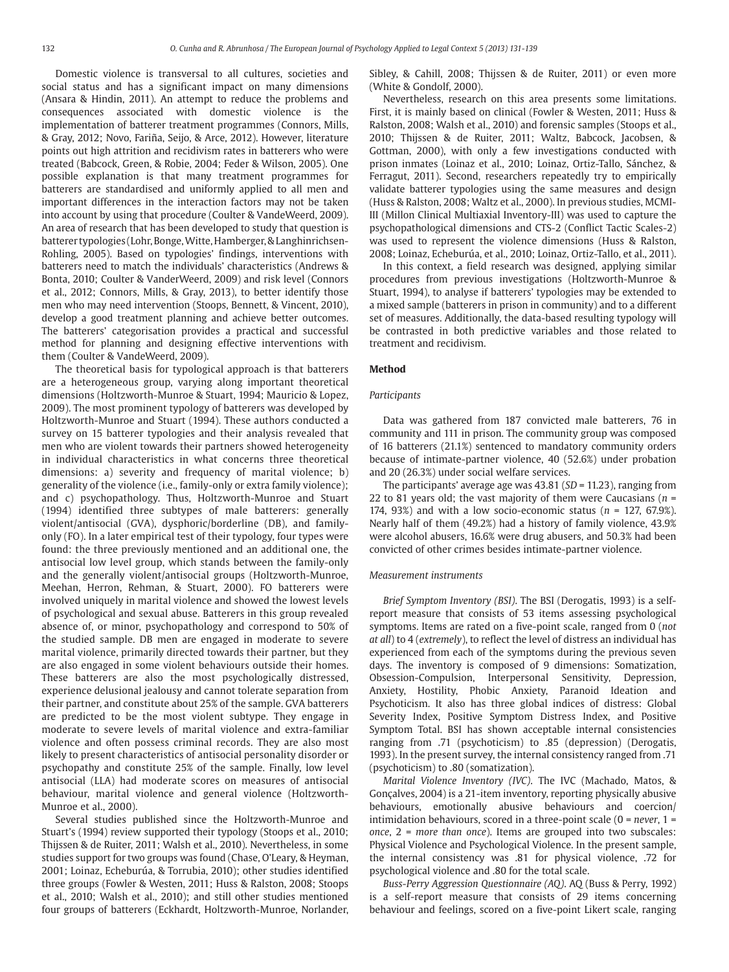Domestic violence is transversal to all cultures, societies and social status and has a significant impact on many dimensions (Ansara & Hindin, 2011). An attempt to reduce the problems and consequences associated with domestic violence is the implementation of batterer treatment programmes (Connors, Mills, & Gray, 2012; Novo, Fariña, Seijo, & Arce, 2012). However, literature points out high attrition and recidivism rates in batterers who were treated (Babcock, Green, & Robie, 2004; Feder & Wilson, 2005). One possible explanation is that many treatment programmes for batterers are standardised and uniformly applied to all men and important differences in the interaction factors may not be taken into account by using that procedure (Coulter & VandeWeerd, 2009). An area of research that has been developed to study that question is batterer typologies (Lohr, Bonge, Witte, Hamberger, & Langhinrichsen-Rohling, 2005). Based on typologies' findings, interventions with batterers need to match the individuals' characteristics (Andrews & Bonta, 2010; Coulter & VanderWeerd, 2009) and risk level (Connors et al., 2012; Connors, Mills, & Gray, 2013), to better identify those men who may need intervention (Stoops, Bennett, & Vincent, 2010), develop a good treatment planning and achieve better outcomes. The batterers' categorisation provides a practical and successful method for planning and designing effective interventions with them (Coulter & VandeWeerd, 2009).

The theoretical basis for typological approach is that batterers are a heterogeneous group, varying along important theoretical dimensions (Holtzworth-Munroe & Stuart, 1994; Mauricio & Lopez, 2009). The most prominent typology of batterers was developed by Holtzworth-Munroe and Stuart (1994). These authors conducted a survey on 15 batterer typologies and their analysis revealed that men who are violent towards their partners showed heterogeneity in individual characteristics in what concerns three theoretical dimensions: a) severity and frequency of marital violence; b) generality of the violence (i.e., family-only or extra family violence); and c) psychopathology. Thus, Holtzworth-Munroe and Stuart (1994) identified three subtypes of male batterers: generally violent/antisocial (GVA), dysphoric/borderline (DB), and familyonly (FO). In a later empirical test of their typology, four types were found: the three previously mentioned and an additional one, the antisocial low level group, which stands between the family-only and the generally violent/antisocial groups (Holtzworth-Munroe, Meehan, Herron, Rehman, & Stuart, 2000). FO batterers were involved uniquely in marital violence and showed the lowest levels of psychological and sexual abuse. Batterers in this group revealed absence of, or minor, psychopathology and correspond to 50% of the studied sample. DB men are engaged in moderate to severe marital violence, primarily directed towards their partner, but they are also engaged in some violent behaviours outside their homes. These batterers are also the most psychologically distressed, experience delusional jealousy and cannot tolerate separation from their partner, and constitute about 25% of the sample. GVA batterers are predicted to be the most violent subtype. They engage in moderate to severe levels of marital violence and extra-familiar violence and often possess criminal records. They are also most likely to present characteristics of antisocial personality disorder or psychopathy and constitute 25% of the sample. Finally, low level antisocial (LLA) had moderate scores on measures of antisocial behaviour, marital violence and general violence (Holtzworth-Munroe et al., 2000).

Several studies published since the Holtzworth-Munroe and Stuart's (1994) review supported their typology (Stoops et al., 2010; Thijssen & de Ruiter, 2011; Walsh et al., 2010). Nevertheless, in some studies support for two groups was found (Chase, O'Leary, & Heyman, 2001; Loinaz, Echeburúa, & Torrubia, 2010); other studies identified three groups (Fowler & Westen, 2011; Huss & Ralston, 2008; Stoops et al., 2010; Walsh et al., 2010); and still other studies mentioned four groups of batterers (Eckhardt, Holtzworth-Munroe, Norlander, Sibley, & Cahill, 2008; Thijssen & de Ruiter, 2011) or even more (White & Gondolf, 2000).

Nevertheless, research on this area presents some limitations. First, it is mainly based on clinical (Fowler & Westen, 2011; Huss & Ralston, 2008; Walsh et al., 2010) and forensic samples (Stoops et al., 2010; Thijssen & de Ruiter, 2011; Waltz, Babcock, Jacobsen, & Gottman, 2000), with only a few investigations conducted with prison inmates (Loinaz et al., 2010; Loinaz, Ortiz-Tallo, Sánchez, & Ferragut, 2011). Second, researchers repeatedly try to empirically validate batterer typologies using the same measures and design (Huss & Ralston, 2008; Waltz et al., 2000). In previous studies, MCMI-III (Millon Clinical Multiaxial Inventory-III) was used to capture the psychopathological dimensions and CTS-2 (Conflict Tactic Scales-2) was used to represent the violence dimensions (Huss & Ralston, 2008; Loinaz, Echeburúa, et al., 2010; Loinaz, Ortiz-Tallo, et al., 2011).

In this context, a field research was designed, applying similar procedures from previous investigations (Holtzworth-Munroe & Stuart, 1994), to analyse if batterers' typologies may be extended to a mixed sample (batterers in prison in community) and to a different set of measures. Additionally, the data-based resulting typology will be contrasted in both predictive variables and those related to treatment and recidivism.

#### **Method**

#### *Participants*

Data was gathered from 187 convicted male batterers, 76 in community and 111 in prison. The community group was composed of 16 batterers (21.1%) sentenced to mandatory community orders because of intimate-partner violence, 40 (52.6%) under probation and 20 (26.3%) under social welfare services.

The participants' average age was 43.81 (*SD* = 11.23), ranging from 22 to 81 years old; the vast majority of them were Caucasians (*n* = 174, 93%) and with a low socio-economic status (*n* = 127, 67.9%). Nearly half of them (49.2%) had a history of family violence, 43.9% were alcohol abusers, 16.6% were drug abusers, and 50.3% had been convicted of other crimes besides intimate-partner violence.

#### *Measurement instruments*

*Brief Symptom Inventory (BSI)*. The BSI (Derogatis, 1993) is a selfreport measure that consists of 53 items assessing psychological symptoms. Items are rated on a five-point scale, ranged from 0 (*not at all*) to 4 (*extremely*), to reflect the level of distress an individual has experienced from each of the symptoms during the previous seven days. The inventory is composed of 9 dimensions: Somatization, Obsession-Compulsion, Interpersonal Sensitivity, Depression, Anxiety, Hostility, Phobic Anxiety, Paranoid Ideation and Psychoticism. It also has three global indices of distress: Global Severity Index, Positive Symptom Distress Index, and Positive Symptom Total. BSI has shown acceptable internal consistencies ranging from .71 (psychoticism) to .85 (depression) (Derogatis, 1993). In the present survey, the internal consistency ranged from .71 (psychoticism) to .80 (somatization).

*Marital Violence Inventory (IVC)*. The IVC (Machado, Matos, & Gonçalves, 2004) is a 21-item inventory, reporting physically abusive behaviours, emotionally abusive behaviours and coercion/ intimidation behaviours, scored in a three-point scale (0 = *never*, 1 = *once*, 2 = *more than once*). Items are grouped into two subscales: Physical Violence and Psychological Violence. In the present sample, the internal consistency was .81 for physical violence, .72 for psychological violence and .80 for the total scale.

*Buss-Perry Aggression Questionnaire (AQ)*. AQ (Buss & Perry, 1992) is a self-report measure that consists of 29 items concerning behaviour and feelings, scored on a five-point Likert scale, ranging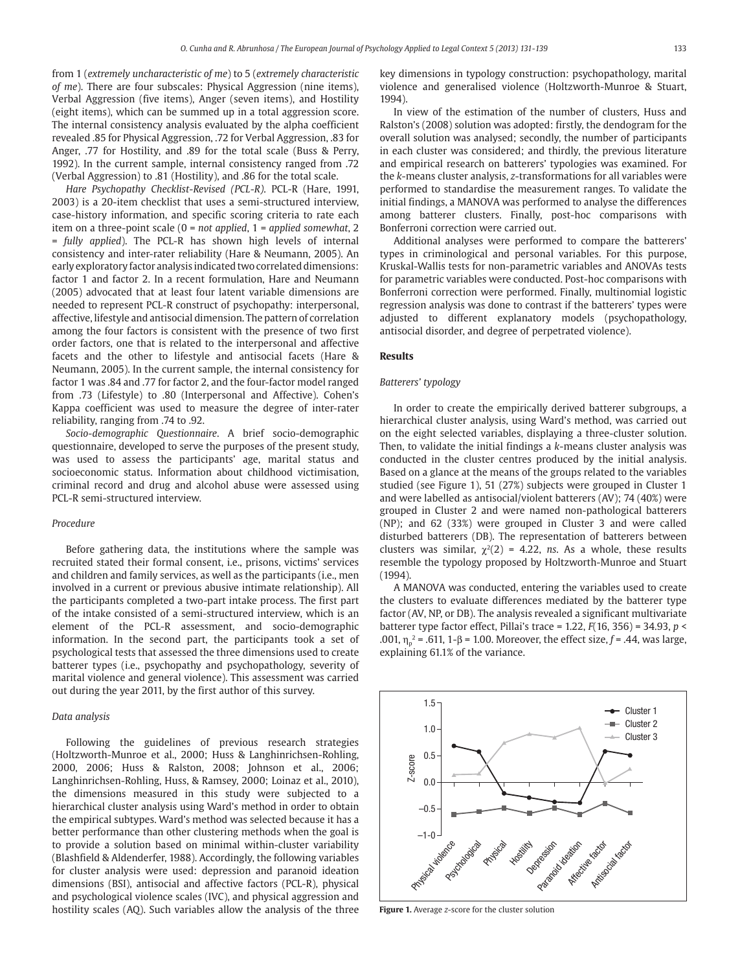from 1 (*extremely uncharacteristic of me*) to 5 (*extremely characteristic of me*). There are four subscales: Physical Aggression (nine items), Verbal Aggression (five items), Anger (seven items), and Hostility (eight items), which can be summed up in a total aggression score. The internal consistency analysis evaluated by the alpha coefficient revealed .85 for Physical Aggression, .72 for Verbal Aggression, .83 for Anger, .77 for Hostility, and .89 for the total scale (Buss & Perry, 1992). In the current sample, internal consistency ranged from .72 (Verbal Aggression) to .81 (Hostility), and .86 for the total scale.

*Hare Psychopathy Checklist-Revised (PCL-R)*. PCL-R (Hare, 1991, 2003) is a 20-item checklist that uses a semi-structured interview, case-history information, and specific scoring criteria to rate each item on a three-point scale (0 = *not applied*, 1 = *applied somewhat*, 2 = *fully applied*). The PCL-R has shown high levels of internal consistency and inter-rater reliability (Hare & Neumann, 2005). An early exploratory factor analysis indicated two correlated dimensions: factor 1 and factor 2. In a recent formulation, Hare and Neumann (2005) advocated that at least four latent variable dimensions are needed to represent PCL-R construct of psychopathy: interpersonal, affective, lifestyle and antisocial dimension. The pattern of correlation among the four factors is consistent with the presence of two first order factors, one that is related to the interpersonal and affective facets and the other to lifestyle and antisocial facets (Hare & Neumann, 2005). In the current sample, the internal consistency for factor 1 was .84 and .77 for factor 2, and the four-factor model ranged from .73 (Lifestyle) to .80 (Interpersonal and Affective). Cohen's Kappa coefficient was used to measure the degree of inter-rater reliability, ranging from .74 to .92.

*Socio-demographic Questionnaire*. A brief socio-demographic questionnaire, developed to serve the purposes of the present study, was used to assess the participants' age, marital status and socioeconomic status. Information about childhood victimisation, criminal record and drug and alcohol abuse were assessed using PCL-R semi-structured interview.

## *Procedure*

Before gathering data, the institutions where the sample was recruited stated their formal consent, i.e., prisons, victims' services and children and family services, as well as the participants (i.e., men involved in a current or previous abusive intimate relationship). All the participants completed a two-part intake process. The first part of the intake consisted of a semi-structured interview, which is an element of the PCL-R assessment, and socio-demographic information. In the second part, the participants took a set of psychological tests that assessed the three dimensions used to create batterer types (i.e., psychopathy and psychopathology, severity of marital violence and general violence). This assessment was carried out during the year 2011, by the first author of this survey.

#### *Data analysis*

Following the guidelines of previous research strategies (Holtzworth-Munroe et al., 2000; Huss & Langhinrichsen-Rohling, 2000, 2006; Huss & Ralston, 2008; Johnson et al., 2006; Langhinrichsen-Rohling, Huss, & Ramsey, 2000; Loinaz et al., 2010), the dimensions measured in this study were subjected to a hierarchical cluster analysis using Ward's method in order to obtain the empirical subtypes. Ward's method was selected because it has a better performance than other clustering methods when the goal is to provide a solution based on minimal within-cluster variability (Blashfield & Aldenderfer, 1988). Accordingly, the following variables for cluster analysis were used: depression and paranoid ideation dimensions (BSI), antisocial and affective factors (PCL-R), physical and psychological violence scales (IVC), and physical aggression and hostility scales (AQ). Such variables allow the analysis of the three key dimensions in typology construction: psychopathology, marital violence and generalised violence (Holtzworth-Munroe & Stuart, 1994).

In view of the estimation of the number of clusters, Huss and Ralston's (2008) solution was adopted: firstly, the dendogram for the overall solution was analysed; secondly, the number of participants in each cluster was considered; and thirdly, the previous literature and empirical research on batterers' typologies was examined. For the *k*-means cluster analysis, *z*-transformations for all variables were performed to standardise the measurement ranges. To validate the initial findings, a MANOVA was performed to analyse the differences among batterer clusters. Finally, post-hoc comparisons with Bonferroni correction were carried out.

Additional analyses were performed to compare the batterers' types in criminological and personal variables. For this purpose, Kruskal-Wallis tests for non-parametric variables and ANOVAs tests for parametric variables were conducted. Post-hoc comparisons with Bonferroni correction were performed. Finally, multinomial logistic regression analysis was done to contrast if the batterers' types were adjusted to different explanatory models (psychopathology, antisocial disorder, and degree of perpetrated violence).

## **Results**

#### *Batterers' typology*

In order to create the empirically derived batterer subgroups, a hierarchical cluster analysis, using Ward's method, was carried out on the eight selected variables, displaying a three-cluster solution. Then, to validate the initial findings a *k*-means cluster analysis was conducted in the cluster centres produced by the initial analysis. Based on a glance at the means of the groups related to the variables studied (see Figure 1), 51 (27%) subjects were grouped in Cluster 1 and were labelled as antisocial/violent batterers (AV); 74 (40%) were grouped in Cluster 2 and were named non-pathological batterers (NP); and 62 (33%) were grouped in Cluster 3 and were called disturbed batterers (DB). The representation of batterers between clusters was similar,  $\chi^2(2) = 4.22$ , *ns.* As a whole, these results resemble the typology proposed by Holtzworth-Munroe and Stuart (1994).

A MANOVA was conducted, entering the variables used to create the clusters to evaluate differences mediated by the batterer type factor (AV, NP, or DB). The analysis revealed a significant multivariate batterer type factor effect, Pillai's trace = 1.22, *F*(16, 356) = 34.93, *p* < .001,  $η<sub>p</sub><sup>2</sup> = .611, 1-β = 1.00$ . Moreover, the effect size,  $f = .44$ , was large, explaining 61.1% of the variance.



**Figure 1.** Average *z*-score for the cluster solution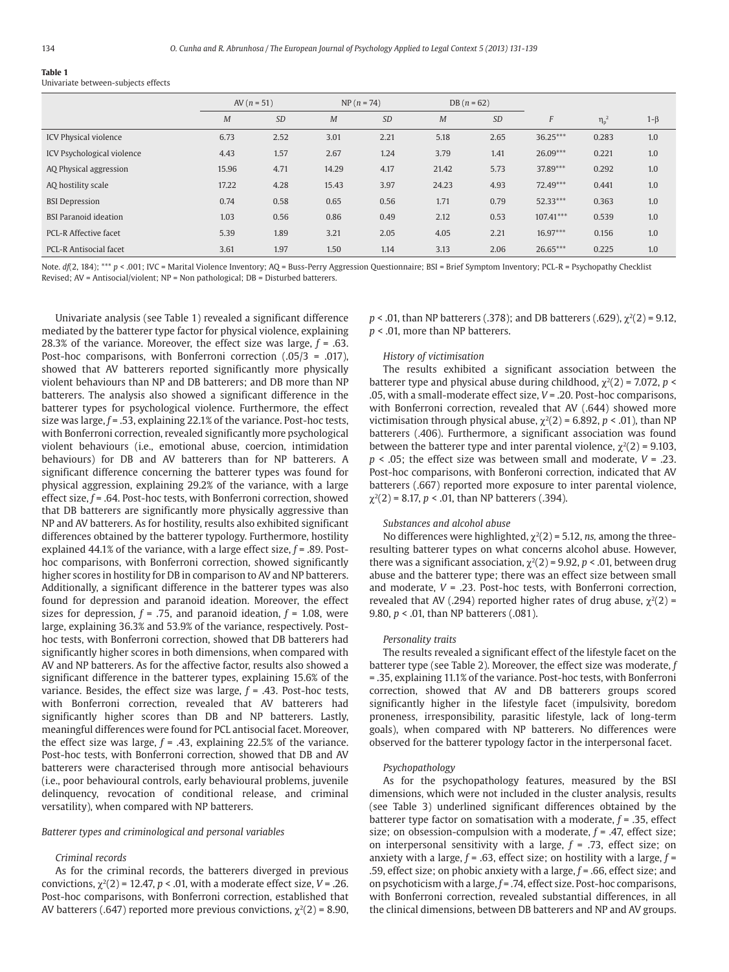Univariate between-subjects effects

|                              | AV $(n = 51)$ |           | $NP(n = 74)$ |           | $DB(n = 62)$ |           |             |            |           |
|------------------------------|---------------|-----------|--------------|-----------|--------------|-----------|-------------|------------|-----------|
|                              | M             | <b>SD</b> | M            | <b>SD</b> | M            | <b>SD</b> | F           | $\eta_p^2$ | $1-\beta$ |
| ICV Physical violence        | 6.73          | 2.52      | 3.01         | 2.21      | 5.18         | 2.65      | $36.25***$  | 0.283      | 1.0       |
| ICV Psychological violence   | 4.43          | 1.57      | 2.67         | 1.24      | 3.79         | 1.41      | $26.09***$  | 0.221      | 1.0       |
| AQ Physical aggression       | 15.96         | 4.71      | 14.29        | 4.17      | 21.42        | 5.73      | $37.89***$  | 0.292      | 1.0       |
| AQ hostility scale           | 17.22         | 4.28      | 15.43        | 3.97      | 24.23        | 4.93      | 72.49***    | 0.441      | 1.0       |
| <b>BSI Depression</b>        | 0.74          | 0.58      | 0.65         | 0.56      | 1.71         | 0.79      | $52.33***$  | 0.363      | 1.0       |
| <b>BSI Paranoid ideation</b> | 1.03          | 0.56      | 0.86         | 0.49      | 2.12         | 0.53      | $107.41***$ | 0.539      | 1.0       |
| PCL-R Affective facet        | 5.39          | 1.89      | 3.21         | 2.05      | 4.05         | 2.21      | $16.97***$  | 0.156      | 1.0       |
| PCL-R Antisocial facet       | 3.61          | 1.97      | 1.50         | 1.14      | 3.13         | 2.06      | $26.65***$  | 0.225      | 1.0       |

Note. *df*(2, 184); \*\*\* *p* < .001; IVC = Marital Violence Inventory; AQ = Buss-Perry Aggression Questionnaire; BSI = Brief Symptom Inventory; PCL-R = Psychopathy Checklist Revised; AV = Antisocial/violent; NP = Non pathological; DB = Disturbed batterers.

Univariate analysis (see Table 1) revealed a significant difference mediated by the batterer type factor for physical violence, explaining 28.3% of the variance. Moreover, the effect size was large, *f* = .63. Post-hoc comparisons, with Bonferroni correction (.05/3 = .017), showed that AV batterers reported significantly more physically violent behaviours than NP and DB batterers; and DB more than NP batterers. The analysis also showed a significant difference in the batterer types for psychological violence. Furthermore, the effect size was large, *f* = .53, explaining 22.1% of the variance. Post-hoc tests, with Bonferroni correction, revealed significantly more psychological violent behaviours (i.e., emotional abuse, coercion, intimidation behaviours) for DB and AV batterers than for NP batterers. A significant difference concerning the batterer types was found for physical aggression, explaining 29.2% of the variance, with a large effect size, *f* = .64. Post-hoc tests, with Bonferroni correction, showed that DB batterers are significantly more physically aggressive than NP and AV batterers. As for hostility, results also exhibited significant differences obtained by the batterer typology. Furthermore, hostility explained 44.1% of the variance, with a large effect size, *f* = .89. Posthoc comparisons, with Bonferroni correction, showed significantly higher scores in hostility for DB in comparison to AV and NP batterers. Additionally, a significant difference in the batterer types was also found for depression and paranoid ideation. Moreover, the effect sizes for depression,  $f = .75$ , and paranoid ideation,  $f = 1.08$ , were large, explaining 36.3% and 53.9% of the variance, respectively. Posthoc tests, with Bonferroni correction, showed that DB batterers had significantly higher scores in both dimensions, when compared with AV and NP batterers. As for the affective factor, results also showed a significant difference in the batterer types, explaining 15.6% of the variance. Besides, the effect size was large, *f* = .43. Post-hoc tests, with Bonferroni correction, revealed that AV batterers had significantly higher scores than DB and NP batterers. Lastly, meaningful differences were found for PCL antisocial facet. Moreover, the effect size was large,  $f = .43$ , explaining 22.5% of the variance. Post-hoc tests, with Bonferroni correction, showed that DB and AV batterers were characterised through more antisocial behaviours (i.e., poor behavioural controls, early behavioural problems, juvenile delinquency, revocation of conditional release, and criminal versatility), when compared with NP batterers.

#### *Batterer types and criminological and personal variables*

#### *Criminal records*

As for the criminal records, the batterers diverged in previous convictions,  $\chi^2(2)$  = 12.47,  $p < .01$ , with a moderate effect size,  $V = .26$ . Post-hoc comparisons, with Bonferroni correction, established that AV batterers (.647) reported more previous convictions,  $\chi^2(2) = 8.90$ ,

*p* < .01, than NP batterers (.378); and DB batterers (.629),  $\chi^2(2) = 9.12$ , *p* < .01, more than NP batterers.

#### *History of victimisation*

The results exhibited a significant association between the batterer type and physical abuse during childhood,  $\gamma^2(2) = 7.072$ ,  $p <$ .05, with a small-moderate effect size, *V* = .20. Post-hoc comparisons, with Bonferroni correction, revealed that AV (.644) showed more victimisation through physical abuse,  $\chi^2(2) = 6.892$ ,  $p < .01$ ), than NP batterers (.406). Furthermore, a significant association was found between the batterer type and inter parental violence,  $\chi^2(2) = 9.103$ , *p* < .05; the effect size was between small and moderate, *V* = .23. Post-hoc comparisons, with Bonferoni correction, indicated that AV batterers (.667) reported more exposure to inter parental violence,  $\chi^2(2) = 8.17$ ,  $p < .01$ , than NP batterers (.394).

#### *Substances and alcohol abuse*

No differences were highlighted,  $\chi^2(2)$  = 5.12, *ns*, among the threeresulting batterer types on what concerns alcohol abuse. However, there was a significant association,  $\chi^2(2)$  = 9.92, p < .01, between drug abuse and the batterer type; there was an effect size between small and moderate, *V* = .23. Post-hoc tests, with Bonferroni correction, revealed that AV (.294) reported higher rates of drug abuse,  $\chi^2(2)$  = 9.80, *p* < .01, than NP batterers (.081).

#### *Personality traits*

The results revealed a significant effect of the lifestyle facet on the batterer type (see Table 2). Moreover, the effect size was moderate, *f* = .35, explaining 11.1% of the variance. Post-hoc tests, with Bonferroni correction, showed that AV and DB batterers groups scored significantly higher in the lifestyle facet (impulsivity, boredom proneness, irresponsibility, parasitic lifestyle, lack of long-term goals), when compared with NP batterers. No differences were observed for the batterer typology factor in the interpersonal facet.

#### *Psychopathology*

As for the psychopathology features, measured by the BSI dimensions, which were not included in the cluster analysis, results (see Table 3) underlined significant differences obtained by the batterer type factor on somatisation with a moderate, *f* = .35, effect size; on obsession-compulsion with a moderate, *f* = .47, effect size; on interpersonal sensitivity with a large, *f* = .73, effect size; on anxiety with a large, *f* = .63, effect size; on hostility with a large, *f* = .59, effect size; on phobic anxiety with a large, *f* = .66, effect size; and on psychoticism with a large, *f* = .74, effect size. Post-hoc comparisons, with Bonferroni correction, revealed substantial differences, in all the clinical dimensions, between DB batterers and NP and AV groups.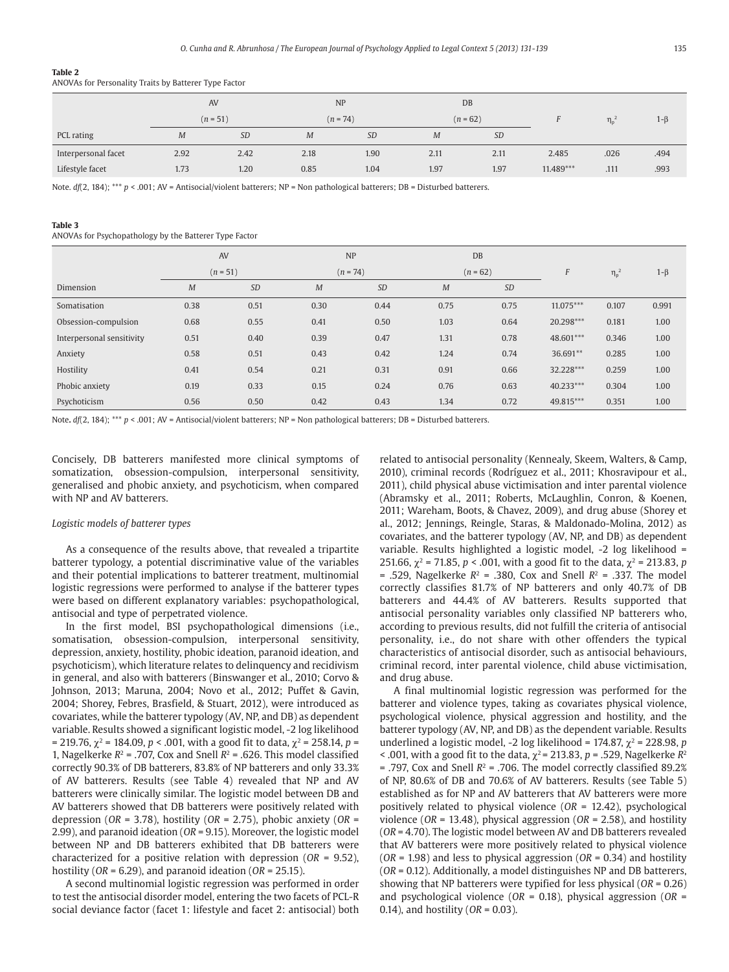| ANOVAs for Personality Traits by Batterer Type Factor |                  |           |                         |           |                  |           |           |            |           |
|-------------------------------------------------------|------------------|-----------|-------------------------|-----------|------------------|-----------|-----------|------------|-----------|
|                                                       | AV<br>$(n = 51)$ |           | <b>NP</b><br>$(n = 74)$ |           | DB<br>$(n = 62)$ |           |           | $\eta_p^2$ |           |
|                                                       |                  |           |                         |           |                  |           |           |            | $1-\beta$ |
| PCL rating                                            | M                | <b>SD</b> | M                       | <b>SD</b> | M                | <b>SD</b> |           |            |           |
| Interpersonal facet                                   | 2.92             | 2.42      | 2.18                    | 1.90      | 2.11             | 2.11      | 2.485     | .026       | .494      |
| Lifestyle facet                                       | 1.73             | 1.20      | 0.85                    | 1.04      | 1.97             | 1.97      | 11.489*** | .111       | .993      |

Note. *df*(2, 184); \*\*\* *p* < .001; AV = Antisocial/violent batterers; NP = Non pathological batterers; DB = Disturbed batterers.

#### **Table 3**

#### ANOVAs for Psychopathology by the Batterer Type Factor

|                           | AV         |           |      | NP         |      | DB         |             |            |           |
|---------------------------|------------|-----------|------|------------|------|------------|-------------|------------|-----------|
|                           | $(n = 51)$ |           |      | $(n = 74)$ |      | $(n = 62)$ |             | $\eta_p^2$ | $1-\beta$ |
| Dimension                 | M          | <b>SD</b> | M    | <b>SD</b>  | M    | SD         |             |            |           |
| Somatisation              | 0.38       | 0.51      | 0.30 | 0.44       | 0.75 | 0.75       | $11.075***$ | 0.107      | 0.991     |
| Obsession-compulsion      | 0.68       | 0.55      | 0.41 | 0.50       | 1.03 | 0.64       | 20.298***   | 0.181      | 1.00      |
| Interpersonal sensitivity | 0.51       | 0.40      | 0.39 | 0.47       | 1.31 | 0.78       | 48.601***   | 0.346      | 1.00      |
| Anxiety                   | 0.58       | 0.51      | 0.43 | 0.42       | 1.24 | 0.74       | 36.691**    | 0.285      | 1.00      |
| Hostility                 | 0.41       | 0.54      | 0.21 | 0.31       | 0.91 | 0.66       | 32.228***   | 0.259      | 1.00      |
| Phobic anxiety            | 0.19       | 0.33      | 0.15 | 0.24       | 0.76 | 0.63       | $40.233***$ | 0.304      | 1.00      |
| Psychoticism              | 0.56       | 0.50      | 0.42 | 0.43       | 1.34 | 0.72       | 49.815***   | 0.351      | 1.00      |

Note.  $df(2, 184)$ ; \*\*\*  $p < .001$ ; AV = Antisocial/violent batterers; NP = Non pathological batterers; DB = Disturbed batterers.

Concisely, DB batterers manifested more clinical symptoms of somatization, obsession-compulsion, interpersonal sensitivity, generalised and phobic anxiety, and psychoticism, when compared with NP and AV batterers.

## *Logistic models of batterer types*

As a consequence of the results above, that revealed a tripartite batterer typology, a potential discriminative value of the variables and their potential implications to batterer treatment, multinomial logistic regressions were performed to analyse if the batterer types were based on different explanatory variables: psychopathological, antisocial and type of perpetrated violence.

In the first model, BSI psychopathological dimensions (i.e., somatisation, obsession-compulsion, interpersonal sensitivity, depression, anxiety, hostility, phobic ideation, paranoid ideation, and psychoticism), which literature relates to delinquency and recidivism in general, and also with batterers (Binswanger et al., 2010; Corvo & Johnson, 2013; Maruna, 2004; Novo et al., 2012; Puffet & Gavin, 2004; Shorey, Febres, Brasfield, & Stuart, 2012), were introduced as covariates, while the batterer typology (AV, NP, and DB) as dependent variable. Results showed a significant logistic model, -2 log likelihood = 219.76,  $\chi^2$  = 184.09, *p* < .001, with a good fit to data,  $\chi^2$  = 258.14, *p* = 1, Nagelkerke  $R^2$  = .707, Cox and Snell  $R^2$  = .626. This model classified correctly 90.3% of DB batterers, 83.8% of NP batterers and only 33.3% of AV batterers. Results (see Table 4) revealed that NP and AV batterers were clinically similar. The logistic model between DB and AV batterers showed that DB batterers were positively related with depression (*OR* = 3.78), hostility (*OR* = 2.75), phobic anxiety (*OR* = 2.99), and paranoid ideation (*OR* = 9.15). Moreover, the logistic model between NP and DB batterers exhibited that DB batterers were characterized for a positive relation with depression (*OR* = 9.52), hostility (*OR* = 6.29), and paranoid ideation (*OR* = 25.15).

A second multinomial logistic regression was performed in order to test the antisocial disorder model, entering the two facets of PCL-R social deviance factor (facet 1: lifestyle and facet 2: antisocial) both related to antisocial personality (Kennealy, Skeem, Walters, & Camp, 2010), criminal records (Rodríguez et al., 2011; Khosravipour et al., 2011), child physical abuse victimisation and inter parental violence (Abramsky et al., 2011; Roberts, McLaughlin, Conron, & Koenen, 2011; Wareham, Boots, & Chavez, 2009), and drug abuse (Shorey et al., 2012; Jennings, Reingle, Staras, & Maldonado-Molina, 2012) as covariates, and the batterer typology (AV, NP, and DB) as dependent variable. Results highlighted a logistic model, -2 log likelihood = 251.66,  $\chi^2$  = 71.85, *p* < .001, with a good fit to the data,  $\chi^2$  = 213.83, *p*  $= .529$ , Nagelkerke  $R<sup>2</sup> = .380$ , Cox and Snell  $R<sup>2</sup> = .337$ . The model correctly classifies 81.7% of NP batterers and only 40.7% of DB batterers and 44.4% of AV batterers. Results supported that antisocial personality variables only classified NP batterers who, according to previous results, did not fulfill the criteria of antisocial personality, i.e., do not share with other offenders the typical characteristics of antisocial disorder, such as antisocial behaviours, criminal record, inter parental violence, child abuse victimisation, and drug abuse.

A final multinomial logistic regression was performed for the batterer and violence types, taking as covariates physical violence, psychological violence, physical aggression and hostility, and the batterer typology (AV, NP, and DB) as the dependent variable. Results underlined a logistic model, -2 log likelihood = 174.87,  $\chi^2$  = 228.98, *p*  $\le$  .001, with a good fit to the data,  $\chi^2$  = 213.83, p = .529, Nagelkerke  $R^2$  $=$  .797, Cox and Snell  $R<sup>2</sup> = 0.706$ . The model correctly classified 89.2% of NP, 80.6% of DB and 70.6% of AV batterers. Results (see Table 5) established as for NP and AV batterers that AV batterers were more positively related to physical violence (*OR* = 12.42), psychological violence (*OR* = 13.48), physical aggression (*OR* = 2.58), and hostility (*OR* = 4.70). The logistic model between AV and DB batterers revealed that AV batterers were more positively related to physical violence (*OR* = 1.98) and less to physical aggression (*OR* = 0.34) and hostility (*OR* = 0.12). Additionally, a model distinguishes NP and DB batterers, showing that NP batterers were typified for less physical (*OR* = 0.26) and psychological violence (*OR* = 0.18), physical aggression (*OR* = 0.14), and hostility (*OR* = 0.03).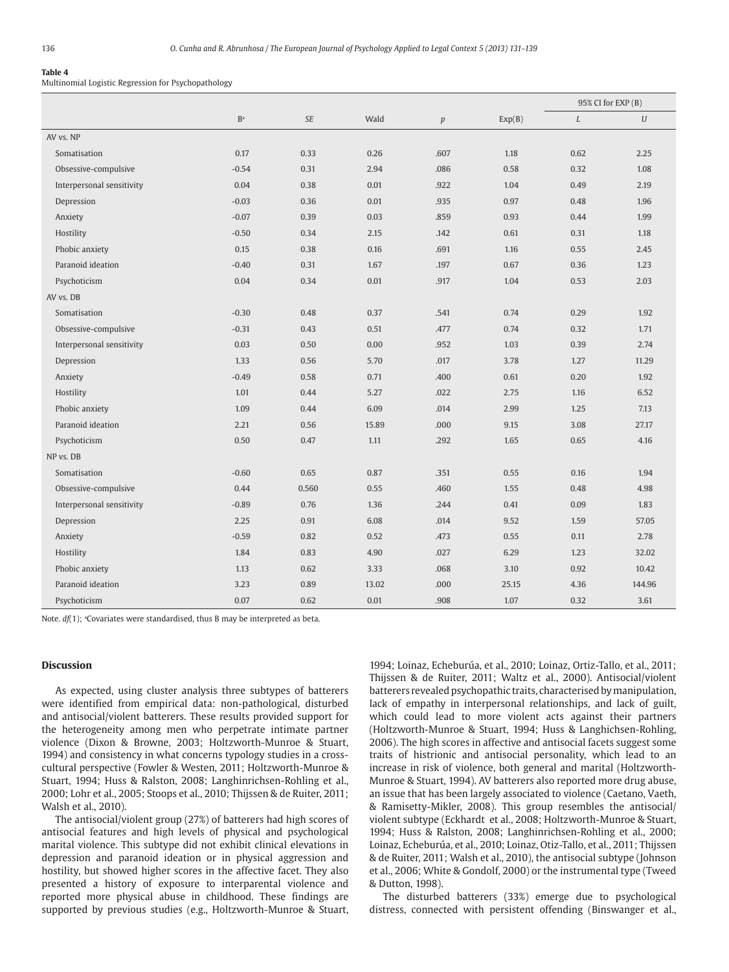Multinomial Logistic Regression for Psychopathology

|                           |                |       |       |      |        | 95% CI for EXP (B) |        |
|---------------------------|----------------|-------|-------|------|--------|--------------------|--------|
|                           | B <sup>a</sup> | SE    | Wald  | p    | Exp(B) | ${\cal L}$         | U      |
| AV vs. NP                 |                |       |       |      |        |                    |        |
| Somatisation              | 0.17           | 0.33  | 0.26  | .607 | 1.18   | 0.62               | 2.25   |
| Obsessive-compulsive      | $-0.54$        | 0.31  | 2.94  | .086 | 0.58   | 0.32               | 1.08   |
| Interpersonal sensitivity | 0.04           | 0.38  | 0.01  | .922 | 1.04   | 0.49               | 2.19   |
| Depression                | $-0.03$        | 0.36  | 0.01  | .935 | 0.97   | 0.48               | 1.96   |
| Anxiety                   | $-0.07$        | 0.39  | 0.03  | .859 | 0.93   | 0.44               | 1.99   |
| Hostility                 | $-0.50$        | 0.34  | 2.15  | .142 | 0.61   | 0.31               | 1.18   |
| Phobic anxiety            | 0.15           | 0.38  | 0.16  | .691 | 1.16   | 0.55               | 2.45   |
| Paranoid ideation         | $-0.40$        | 0.31  | 1.67  | .197 | 0.67   | 0.36               | 1.23   |
| Psychoticism              | 0.04           | 0.34  | 0.01  | .917 | 1.04   | 0.53               | 2.03   |
| AV vs. DB                 |                |       |       |      |        |                    |        |
| Somatisation              | $-0.30$        | 0.48  | 0.37  | .541 | 0.74   | 0.29               | 1.92   |
| Obsessive-compulsive      | $-0.31$        | 0.43  | 0.51  | .477 | 0.74   | 0.32               | 1.71   |
| Interpersonal sensitivity | 0.03           | 0.50  | 0.00  | .952 | 1.03   | 0.39               | 2.74   |
| Depression                | 1.33           | 0.56  | 5.70  | .017 | 3.78   | 1.27               | 11.29  |
| Anxiety                   | $-0.49$        | 0.58  | 0.71  | .400 | 0.61   | 0.20               | 1.92   |
| Hostility                 | 1.01           | 0.44  | 5.27  | .022 | 2.75   | 1.16               | 6.52   |
| Phobic anxiety            | 1.09           | 0.44  | 6.09  | .014 | 2.99   | 1.25               | 7.13   |
| Paranoid ideation         | 2.21           | 0.56  | 15.89 | .000 | 9.15   | 3.08               | 27.17  |
| Psychoticism              | 0.50           | 0.47  | 1.11  | .292 | 1.65   | 0.65               | 4.16   |
| NP vs. DB                 |                |       |       |      |        |                    |        |
| Somatisation              | $-0.60$        | 0.65  | 0.87  | .351 | 0.55   | 0.16               | 1.94   |
| Obsessive-compulsive      | 0.44           | 0.560 | 0.55  | .460 | 1.55   | 0.48               | 4.98   |
| Interpersonal sensitivity | $-0.89$        | 0.76  | 1.36  | .244 | 0.41   | 0.09               | 1.83   |
| Depression                | 2.25           | 0.91  | 6.08  | .014 | 9.52   | 1.59               | 57.05  |
| Anxiety                   | $-0.59$        | 0.82  | 0.52  | .473 | 0.55   | 0.11               | 2.78   |
| Hostility                 | 1.84           | 0.83  | 4.90  | .027 | 6.29   | 1.23               | 32.02  |
| Phobic anxiety            | 1.13           | 0.62  | 3.33  | .068 | 3.10   | 0.92               | 10.42  |
| Paranoid ideation         | 3.23           | 0.89  | 13.02 | .000 | 25.15  | 4.36               | 144.96 |
| Psychoticism              | 0.07           | 0.62  | 0.01  | .908 | 1.07   | 0.32               | 3.61   |

Note. *df*(1); <sup>a</sup>Covariates were standardised, thus B may be interpreted as beta.

#### **Discussion**

As expected, using cluster analysis three subtypes of batterers were identified from empirical data: non-pathological, disturbed and antisocial/violent batterers. These results provided support for the heterogeneity among men who perpetrate intimate partner violence (Dixon & Browne, 2003; Holtzworth-Munroe & Stuart, 1994) and consistency in what concerns typology studies in a crosscultural perspective (Fowler & Westen, 2011; Holtzworth-Munroe & Stuart, 1994; Huss & Ralston, 2008; Langhinrichsen-Rohling et al., 2000; Lohr et al., 2005; Stoops et al., 2010; Thijssen & de Ruiter, 2011; Walsh et al., 2010).

The antisocial/violent group (27%) of batterers had high scores of antisocial features and high levels of physical and psychological marital violence. This subtype did not exhibit clinical elevations in depression and paranoid ideation or in physical aggression and hostility, but showed higher scores in the affective facet. They also presented a history of exposure to interparental violence and reported more physical abuse in childhood. These findings are supported by previous studies (e.g., Holtzworth-Munroe & Stuart, 1994; Loinaz, Echeburúa, et al., 2010; Loinaz, Ortiz-Tallo, et al., 2011; Thijssen & de Ruiter, 2011; Waltz et al., 2000). Antisocial/violent batterers revealed psychopathic traits, characterised by manipulation, lack of empathy in interpersonal relationships, and lack of guilt, which could lead to more violent acts against their partners (Holtzworth-Munroe & Stuart, 1994; Huss & Langhichsen-Rohling, 2006). The high scores in affective and antisocial facets suggest some traits of histrionic and antisocial personality, which lead to an increase in risk of violence, both general and marital (Holtzworth-Munroe & Stuart, 1994). AV batterers also reported more drug abuse, an issue that has been largely associated to violence (Caetano, Vaeth, & Ramisetty-Mikler, 2008). This group resembles the antisocial/ violent subtype (Eckhardt et al., 2008; Holtzworth-Munroe & Stuart, 1994; Huss & Ralston, 2008; Langhinrichsen-Rohling et al., 2000; Loinaz, Echeburúa, et al., 2010; Loinaz, Otiz-Tallo, et al., 2011; Thijssen & de Ruiter, 2011; Walsh et al., 2010), the antisocial subtype (Johnson et al., 2006; White & Gondolf, 2000) or the instrumental type (Tweed & Dutton, 1998).

The disturbed batterers (33%) emerge due to psychological distress, connected with persistent offending (Binswanger et al.,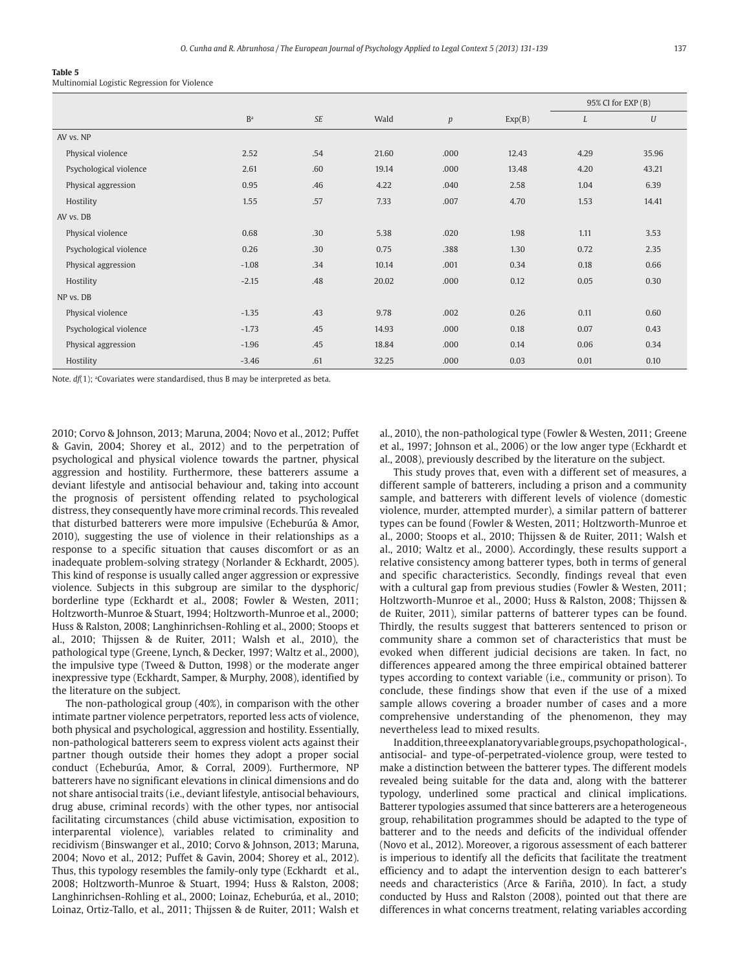Multinomial Logistic Regression for Violence

|                        |                         |     |       |      |        |      | 95% CI for EXP (B) |
|------------------------|-------------------------|-----|-------|------|--------|------|--------------------|
|                        | $\mathsf{B}^\mathsf{a}$ | SE  | Wald  | p    | Exp(B) | L    | $\boldsymbol{U}$   |
| AV vs. NP              |                         |     |       |      |        |      |                    |
| Physical violence      | 2.52                    | .54 | 21.60 | .000 | 12.43  | 4.29 | 35.96              |
| Psychological violence | 2.61                    | .60 | 19.14 | .000 | 13.48  | 4.20 | 43.21              |
| Physical aggression    | 0.95                    | .46 | 4.22  | .040 | 2.58   | 1.04 | 6.39               |
| Hostility              | 1.55                    | .57 | 7.33  | .007 | 4.70   | 1.53 | 14.41              |
| AV vs. DB              |                         |     |       |      |        |      |                    |
| Physical violence      | 0.68                    | .30 | 5.38  | .020 | 1.98   | 1.11 | 3.53               |
| Psychological violence | 0.26                    | .30 | 0.75  | .388 | 1.30   | 0.72 | 2.35               |
| Physical aggression    | $-1.08$                 | .34 | 10.14 | .001 | 0.34   | 0.18 | 0.66               |
| Hostility              | $-2.15$                 | .48 | 20.02 | .000 | 0.12   | 0.05 | 0.30               |
| NP vs. DB              |                         |     |       |      |        |      |                    |
| Physical violence      | $-1.35$                 | .43 | 9.78  | .002 | 0.26   | 0.11 | 0.60               |
| Psychological violence | $-1.73$                 | .45 | 14.93 | .000 | 0.18   | 0.07 | 0.43               |
| Physical aggression    | $-1.96$                 | .45 | 18.84 | .000 | 0.14   | 0.06 | 0.34               |
| Hostility              | $-3.46$                 | .61 | 32.25 | .000 | 0.03   | 0.01 | 0.10               |

Note. *df*(1); <sup>a</sup>Covariates were standardised, thus B may be interpreted as beta.

2010; Corvo & Johnson, 2013; Maruna, 2004; Novo et al., 2012; Puffet & Gavin, 2004; Shorey et al., 2012) and to the perpetration of psychological and physical violence towards the partner, physical aggression and hostility. Furthermore, these batterers assume a deviant lifestyle and antisocial behaviour and, taking into account the prognosis of persistent offending related to psychological distress, they consequently have more criminal records. This revealed that disturbed batterers were more impulsive (Echeburúa & Amor, 2010), suggesting the use of violence in their relationships as a response to a specific situation that causes discomfort or as an inadequate problem-solving strategy (Norlander & Eckhardt, 2005). This kind of response is usually called anger aggression or expressive violence. Subjects in this subgroup are similar to the dysphoric/ borderline type (Eckhardt et al., 2008; Fowler & Westen, 2011; Holtzworth-Munroe & Stuart, 1994; Holtzworth-Munroe et al., 2000; Huss & Ralston, 2008; Langhinrichsen-Rohling et al., 2000; Stoops et al., 2010; Thijssen & de Ruiter, 2011; Walsh et al., 2010), the pathological type (Greene, Lynch, & Decker, 1997; Waltz et al., 2000), the impulsive type (Tweed & Dutton, 1998) or the moderate anger inexpressive type (Eckhardt, Samper, & Murphy, 2008), identified by the literature on the subject.

The non-pathological group (40%), in comparison with the other intimate partner violence perpetrators, reported less acts of violence, both physical and psychological, aggression and hostility. Essentially, non-pathological batterers seem to express violent acts against their partner though outside their homes they adopt a proper social conduct (Echeburúa, Amor, & Corral, 2009). Furthermore, NP batterers have no significant elevations in clinical dimensions and do not share antisocial traits (i.e., deviant lifestyle, antisocial behaviours, drug abuse, criminal records) with the other types, nor antisocial facilitating circumstances (child abuse victimisation, exposition to interparental violence), variables related to criminality and recidivism (Binswanger et al., 2010; Corvo & Johnson, 2013; Maruna, 2004; Novo et al., 2012; Puffet & Gavin, 2004; Shorey et al., 2012). Thus, this typology resembles the family-only type (Eckhardt et al., 2008; Holtzworth-Munroe & Stuart, 1994; Huss & Ralston, 2008; Langhinrichsen-Rohling et al., 2000; Loinaz, Echeburúa, et al., 2010; Loinaz, Ortiz-Tallo, et al., 2011; Thijssen & de Ruiter, 2011; Walsh et

al., 2010), the non-pathological type (Fowler & Westen, 2011; Greene et al., 1997; Johnson et al., 2006) or the low anger type (Eckhardt et al., 2008), previously described by the literature on the subject.

This study proves that, even with a different set of measures, a different sample of batterers, including a prison and a community sample, and batterers with different levels of violence (domestic violence, murder, attempted murder), a similar pattern of batterer types can be found (Fowler & Westen, 2011; Holtzworth-Munroe et al., 2000; Stoops et al., 2010; Thijssen & de Ruiter, 2011; Walsh et al., 2010; Waltz et al., 2000). Accordingly, these results support a relative consistency among batterer types, both in terms of general and specific characteristics. Secondly, findings reveal that even with a cultural gap from previous studies (Fowler & Westen, 2011; Holtzworth-Munroe et al., 2000; Huss & Ralston, 2008; Thijssen & de Ruiter, 2011), similar patterns of batterer types can be found. Thirdly, the results suggest that batterers sentenced to prison or community share a common set of characteristics that must be evoked when different judicial decisions are taken. In fact, no differences appeared among the three empirical obtained batterer types according to context variable (i.e., community or prison). To conclude, these findings show that even if the use of a mixed sample allows covering a broader number of cases and a more comprehensive understanding of the phenomenon, they may nevertheless lead to mixed results.

In addition, three explanatory variable groups, psychopathological-, antisocial- and type-of-perpetrated-violence group, were tested to make a distinction between the batterer types. The different models revealed being suitable for the data and, along with the batterer typology, underlined some practical and clinical implications. Batterer typologies assumed that since batterers are a heterogeneous group, rehabilitation programmes should be adapted to the type of batterer and to the needs and deficits of the individual offender (Novo et al., 2012). Moreover, a rigorous assessment of each batterer is imperious to identify all the deficits that facilitate the treatment efficiency and to adapt the intervention design to each batterer's needs and characteristics (Arce & Fariña, 2010). In fact, a study conducted by Huss and Ralston (2008), pointed out that there are differences in what concerns treatment, relating variables according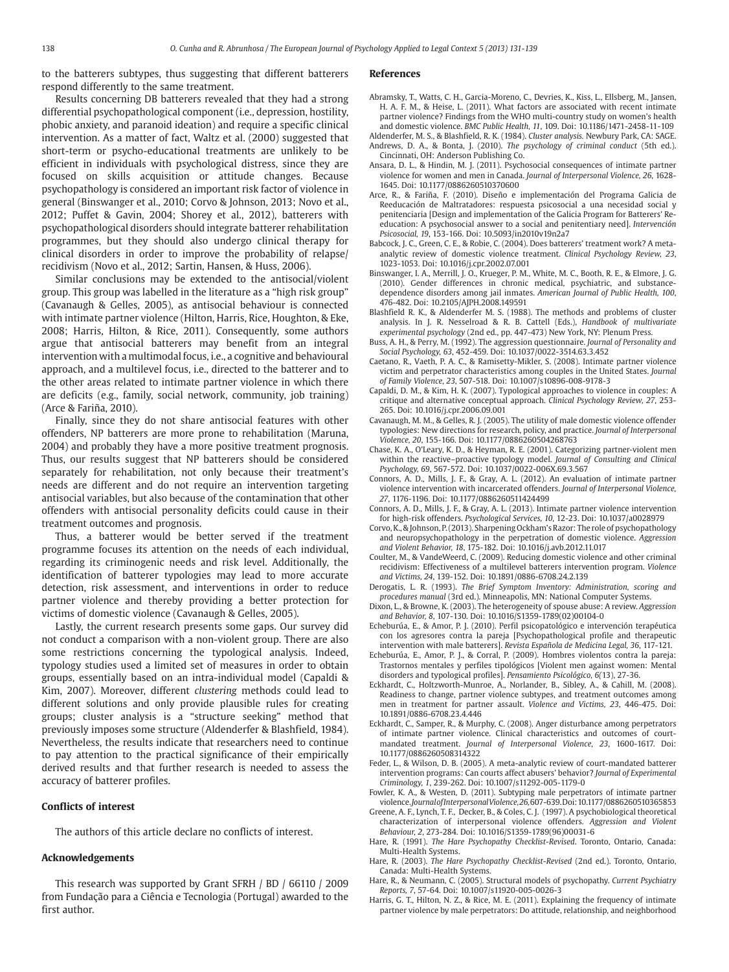to the batterers subtypes, thus suggesting that different batterers respond differently to the same treatment.

Results concerning DB batterers revealed that they had a strong differential psychopathological component (i.e., depression, hostility, phobic anxiety, and paranoid ideation) and require a specific clinical intervention. As a matter of fact, Waltz et al. (2000) suggested that short-term or psycho-educational treatments are unlikely to be efficient in individuals with psychological distress, since they are focused on skills acquisition or attitude changes. Because psychopathology is considered an important risk factor of violence in general (Binswanger et al., 2010; Corvo & Johnson, 2013; Novo et al., 2012; Puffet & Gavin, 2004; Shorey et al., 2012), batterers with psychopathological disorders should integrate batterer rehabilitation programmes, but they should also undergo clinical therapy for clinical disorders in order to improve the probability of relapse/ recidivism (Novo et al., 2012; Sartin, Hansen, & Huss, 2006).

Similar conclusions may be extended to the antisocial/violent group. This group was labelled in the literature as a "high risk group" (Cavanaugh & Gelles, 2005), as antisocial behaviour is connected with intimate partner violence (Hilton, Harris, Rice, Houghton, & Eke, 2008; Harris, Hilton, & Rice, 2011). Consequently, some authors argue that antisocial batterers may benefit from an integral intervention with a multimodal focus, i.e., a cognitive and behavioural approach, and a multilevel focus, i.e., directed to the batterer and to the other areas related to intimate partner violence in which there are deficits (e.g., family, social network, community, job training) (Arce & Fariña, 2010).

Finally, since they do not share antisocial features with other offenders, NP batterers are more prone to rehabilitation (Maruna, 2004) and probably they have a more positive treatment prognosis. Thus, our results suggest that NP batterers should be considered separately for rehabilitation, not only because their treatment's needs are different and do not require an intervention targeting antisocial variables, but also because of the contamination that other offenders with antisocial personality deficits could cause in their treatment outcomes and prognosis.

Thus, a batterer would be better served if the treatment programme focuses its attention on the needs of each individual, regarding its criminogenic needs and risk level. Additionally, the identification of batterer typologies may lead to more accurate detection, risk assessment, and interventions in order to reduce partner violence and thereby providing a better protection for victims of domestic violence (Cavanaugh & Gelles, 2005).

Lastly, the current research presents some gaps. Our survey did not conduct a comparison with a non-violent group. There are also some restrictions concerning the typological analysis. Indeed, typology studies used a limited set of measures in order to obtain groups, essentially based on an intra-individual model (Capaldi & Kim, 2007). Moreover, different *clustering* methods could lead to different solutions and only provide plausible rules for creating groups; cluster analysis is a "structure seeking" method that previously imposes some structure (Aldenderfer & Blashfield, 1984). Nevertheless, the results indicate that researchers need to continue to pay attention to the practical significance of their empirically derived results and that further research is needed to assess the accuracy of batterer profiles.

#### **Conflicts of interest**

The authors of this article declare no conflicts of interest.

#### **Acknowledgements**

This research was supported by Grant SFRH / BD / 66110 / 2009 from Fundação para a Ciência e Tecnologia (Portugal) awarded to the first author.

#### **References**

- Abramsky, T., Watts, C. H., Garcia-Moreno, C., Devries, K., Kiss, L., Ellsberg, M., Jansen, H. A. F. M., & Heise, L. (2011). What factors are associated with recent intimate partner violence? Findings from the WHO multi-country study on women's health and domestic violence. *BMC Public Health, 11*, 109. Doi: 10.1186/1471-2458-11-109
- Aldenderfer, M. S., & Blashfield, R. K. (1984). *Cluster analysis.* Newbury Park, CA: SAGE. Andrews, D. A., & Bonta, J. (2010). *The psychology of criminal conduct* (5th ed.). Cincinnati, OH: Anderson Publishing Co.
- Ansara, D. L., & Hindin, M. J. (2011). Psychosocial consequences of intimate partner violence for women and men in Canada. *Journal of Interpersonal Violence, 26*, 1628- 1645. Doi: 10.1177/0886260510370600
- Arce, R., & Fariña, F. (2010). Diseño e implementación del Programa Galicia de Reeducación de Maltratadores: respuesta psicosocial a una necesidad social y penitenciaria [Design and implementation of the Galicia Program for Batterers' Reeducation: A psychosocial answer to a social and penitentiary need]. *Intervención Psicosocial, 19*, 153-166. Doi: 10.5093/in2010v19n2a7
- Babcock, J. C., Green, C. E., & Robie, C. (2004). Does batterers' treatment work? A metaanalytic review of domestic violence treatment. *Clinical Psychology Review, 23*, 1023-1053. Doi: 10.1016/j.cpr.2002.07.001
- Binswanger, I. A., Merrill, J. O., Krueger, P. M., White, M. C., Booth, R. E., & Elmore, J. G. (2010). Gender differences in chronic medical, psychiatric, and substancedependence disorders among jail inmates. *American Journal of Public Health, 100*, 476-482. Doi: 10.2105/AJPH.2008.149591
- Blashfield R. K., & Aldenderfer M. S. (1988). The methods and problems of cluster analysis. In J. R. Nesselroad & R. B. Cattell (Eds.), *Handbook of multivariate experimental psychology* (2nd ed., pp. 447-473) New York, NY: Plenum Press.
- Buss, A. H., & Perry, M. (1992). The aggression questionnaire. *Journal of Personality and Social Psychology, 63*, 452-459. Doi: 10.1037/0022-3514.63.3.452
- Caetano, R., Vaeth, P. A. C., & Ramisetty-Mikler, S. (2008). Intimate partner violence victim and perpetrator characteristics among couples in the United States. *Journal of Family Violence, 23*, 507-518. Doi: 10.1007/s10896-008-9178-3
- Capaldi, D. M., & Kim, H. K. (2007). Typological approaches to violence in couples: A critique and alternative conceptual approach. *Clinical Psychology Review, 27*, 253- 265. Doi: 10.1016/j.cpr.2006.09.001
- Cavanaugh, M. M., & Gelles, R. J. (2005). The utility of male domestic violence offender typologies: New directions for research, policy, and practice. *Journal of Interpersonal Violence, 20*, 155-166. Doi: 10.1177/0886260504268763
- Chase, K. A., O'Leary, K. D., & Heyman, R. E. (2001). Categorizing partner-violent men within the reactive–proactive typology model. *Journal of Consulting and Clinical Psychology, 69*, 567-572. Doi: 10.1037/0022-006X.69.3.567
- Connors, A. D., Mills, J. F., & Gray, A. L. (2012). An evaluation of intimate partner violence intervention with incarcerated offenders. *Journal of Interpersonal Violence, 27*, 1176-1196. Doi: 10.1177/0886260511424499
- Connors, A. D., Mills, J. F., & Gray, A. L. (2013). Intimate partner violence intervention for high-risk offenders. *Psychological Services, 10*, 12-23. Doi: 10.1037/a0028979
- Corvo, K., & Johnson, P. (2013). Sharpening Ockham's Razor: The role of psychopathology and neuropsychopathology in the perpetration of domestic violence. *Aggression and Violent Behavior, 18*, 175-182. Doi: 10.1016/j.avb.2012.11.017
- Coulter, M., & VandeWeerd, C. (2009). Reducing domestic violence and other criminal recidivism: Effectiveness of a multilevel batterers intervention program. *Violence and Victims, 24*, 139-152. Doi: 10.1891/0886-6708.24.2.139
- Derogatis, L. R. (1993). *The Brief Symptom Inventory: Administration, scoring and procedures manual* (3rd ed.)*.* Minneapolis, MN: National Computer Systems.
- Dixon, L., & Browne, K. (2003). The heterogeneity of spouse abuse: A review. *Aggression and Behavior, 8*, 107-130. Doi: 10.1016/S1359-1789(02)00104-0
- Echeburúa, E., & Amor, P. J. (2010). Perfil psicopatológico e intervención terapéutica con los agresores contra la pareja [Psychopathological profile and therapeutic intervention with male batterers]. *Revista Española de Medicina Legal, 36*, 117-121.
- Echeburúa, E., Amor, P. J., & Corral, P. (2009). Hombres violentos contra la pareja: Trastornos mentales y perfiles tipológicos [Violent men against women: Mental disorders and typological profiles]. *Pensamiento Psicológico, 6(*13), 27-36.
- Eckhardt, C., Holtzworth-Munroe, A., Norlander, B., Sibley, A., & Cahill, M. (2008). Readiness to change, partner violence subtypes, and treatment outcomes among men in treatment for partner assault. *Violence and Victims, 23*, 446-475. Doi: 10.1891/0886-6708.23.4.446
- Eckhardt, C., Samper, R., & Murphy, C. (2008). Anger disturbance among perpetrators of intimate partner violence. Clinical characteristics and outcomes of courtmandated treatment. *Journal of Interpersonal Violence, 23*, 1600-1617. Doi: 10.1177/0886260508314322
- Feder, L., & Wilson, D. B. (2005). A meta-analytic review of court-mandated batterer intervention programs: Can courts affect abusers' behavior? *Journal of Experimental Criminology, 1*, 239-262. Doi: 10.1007/s11292-005-1179-0
- Fowler, K. A., & Westen, D. (2011). Subtyping male perpetrators of intimate partner violence. *Journal of Interpersonal Violence, 26,* 607-639. Doi: 10.1177/0886260510365853
- Greene, A. F., Lynch, T. F., Decker, B., & Coles, C. J. (1997). A psychobiological theoretical characterization of interpersonal violence offenders. *Aggression and Violent Behaviour, 2*, 273-284. Doi: 10.1016/S1359-1789(96)00031-6
- Hare, R. (1991). *The Hare Psychopathy Checklist-Revised*. Toronto, Ontario, Canada: Multi-Health Systems.
- Hare, R. (2003). *The Hare Psychopathy Checklist-Revised* (2nd ed.). Toronto, Ontario, Canada: Multi-Health Systems.
- Hare, R., & Neumann, C. (2005). Structural models of psychopathy. *Current Psychiatry Reports, 7*, 57-64. Doi: 10.1007/s11920-005-0026-3
- Harris, G. T., Hilton, N. Z., & Rice, M. E. (2011). Explaining the frequency of intimate partner violence by male perpetrators: Do attitude, relationship, and neighborhood